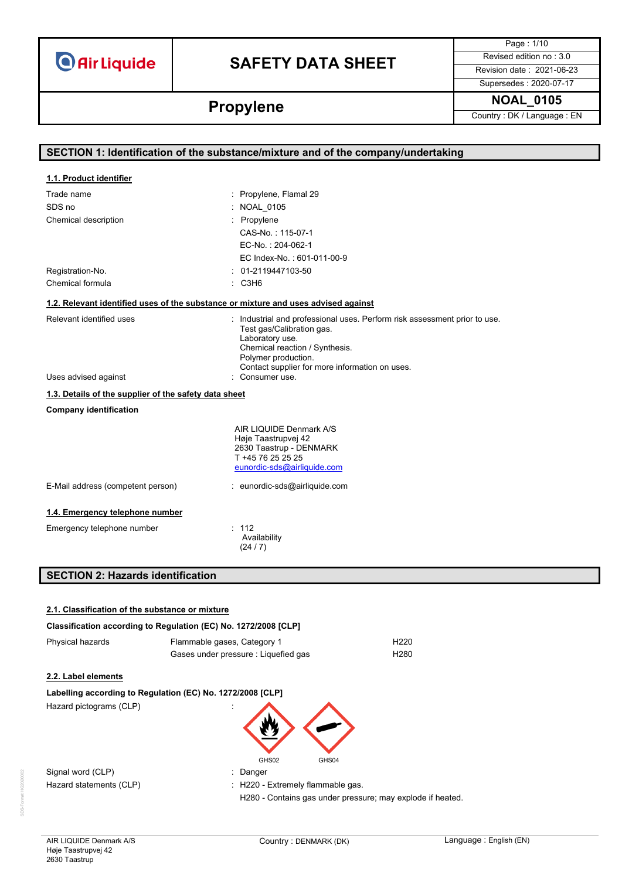# **SAFETY DATA SHEET** Revised edition no : 3.0

Page : 1/10

Supersedes : 2020-07-17

**Propylene NOAL\_0105 Propylene** Country : DK / Language : EN

|                                                       | SECTION 1: Identification of the substance/mixture and of the company/undertaking                                                                                                                                                    |
|-------------------------------------------------------|--------------------------------------------------------------------------------------------------------------------------------------------------------------------------------------------------------------------------------------|
| 1.1. Product identifier                               |                                                                                                                                                                                                                                      |
| Trade name                                            | : Propylene, Flamal 29                                                                                                                                                                                                               |
| SDS no                                                | <b>NOAL 0105</b>                                                                                                                                                                                                                     |
| Chemical description                                  | Propylene                                                                                                                                                                                                                            |
|                                                       | CAS-No.: 115-07-1                                                                                                                                                                                                                    |
|                                                       | EC-No.: 204-062-1                                                                                                                                                                                                                    |
|                                                       | EC Index-No.: 601-011-00-9                                                                                                                                                                                                           |
| Registration-No.                                      | 01-2119447103-50                                                                                                                                                                                                                     |
| Chemical formula                                      | : C3H6                                                                                                                                                                                                                               |
|                                                       | 1.2. Relevant identified uses of the substance or mixture and uses advised against                                                                                                                                                   |
| Relevant identified uses                              | : Industrial and professional uses. Perform risk assessment prior to use.<br>Test gas/Calibration gas.<br>Laboratory use.<br>Chemical reaction / Synthesis.<br>Polymer production.<br>Contact supplier for more information on uses. |
| Uses advised against                                  | : Consumer use.                                                                                                                                                                                                                      |
| 1.3. Details of the supplier of the safety data sheet |                                                                                                                                                                                                                                      |
| <b>Company identification</b>                         |                                                                                                                                                                                                                                      |
|                                                       | AIR LIQUIDE Denmark A/S<br>Høje Taastrupvej 42<br>2630 Taastrup - DENMARK<br>T +45 76 25 25 25<br>eunordic-sds@airliquide.com                                                                                                        |
| E-Mail address (competent person)                     | : eunordic-sds@airliquide.com                                                                                                                                                                                                        |
| 1.4. Emergency telephone number                       |                                                                                                                                                                                                                                      |
| Emergency telephone number                            | : 112<br>Availability<br>(24/7)                                                                                                                                                                                                      |
| <b>SECTION 2: Hazards identification</b>              |                                                                                                                                                                                                                                      |

| 2.1. Classification of the substance or mixture                     |                                      |                                                            |  |
|---------------------------------------------------------------------|--------------------------------------|------------------------------------------------------------|--|
| Classification according to Regulation (EC) No. 1272/2008 [CLP]     |                                      |                                                            |  |
| Physical hazards<br>H <sub>220</sub><br>Flammable gases, Category 1 |                                      |                                                            |  |
|                                                                     | Gases under pressure : Liquefied gas | H <sub>280</sub>                                           |  |
| 2.2. Label elements                                                 |                                      |                                                            |  |
| Labelling according to Regulation (EC) No. 1272/2008 [CLP]          |                                      |                                                            |  |
| Hazard pictograms (CLP)                                             |                                      |                                                            |  |
|                                                                     | GHS02                                | GHS04                                                      |  |
| Signal word (CLP)                                                   | : Danger                             |                                                            |  |
| Hazard statements (CLP)                                             | : H220 - Extremely flammable gas.    |                                                            |  |
|                                                                     |                                      | H280 - Contains gas under pressure; may explode if heated. |  |
|                                                                     |                                      |                                                            |  |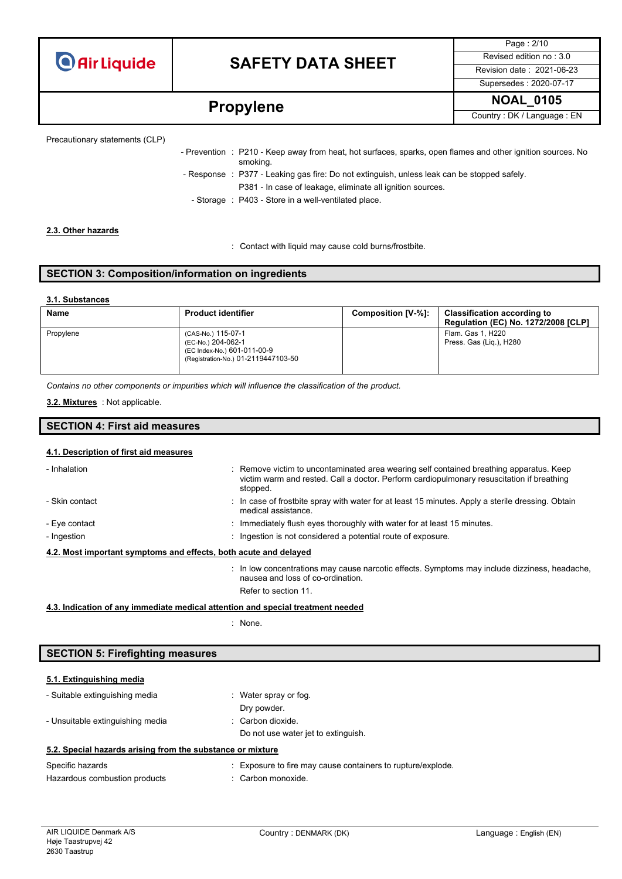# **SAFETY DATA SHEET** Revised edition no : 3.0

Page : 2/10 Supersedes : 2020-07-17

# **Propylene** NOAL\_0105

Precautionary statements (CLP)

| - Prevention : P210 - Keep away from heat, hot surfaces, sparks, open flames and other ignition sources. No<br>smoking. |
|-------------------------------------------------------------------------------------------------------------------------|
| - Response : P377 - Leaking gas fire: Do not extinguish, unless leak can be stopped safely.                             |
| P381 - In case of leakage, eliminate all ignition sources.                                                              |
| - Storage : P403 - Store in a well-ventilated place.                                                                    |

#### **2.3. Other hazards**

: Contact with liquid may cause cold burns/frostbite.

### **SECTION 3: Composition/information on ingredients**

#### **3.1. Substances**

| Name      | <b>Product identifier</b>                                                                                      | Composition [V-%]: | <b>Classification according to</b><br><b>Regulation (EC) No. 1272/2008 [CLP]</b> |
|-----------|----------------------------------------------------------------------------------------------------------------|--------------------|----------------------------------------------------------------------------------|
| Propylene | (CAS-No.) 115-07-1<br>(EC-No.) 204-062-1<br>(EC Index-No.) 601-011-00-9<br>(Registration-No.) 01-2119447103-50 |                    | Flam. Gas 1, H220<br>Press. Gas (Lig.), H280                                     |

*Contains no other components or impurities which will influence the classification of the product.*

: Not applicable. **3.2. Mixtures**

### **SECTION 4: First aid measures**

### **4.1. Description of first aid measures**

| - Inhalation   | : Remove victim to uncontaminated area wearing self contained breathing apparatus. Keep<br>victim warm and rested. Call a doctor. Perform cardiopulmonary resuscitation if breathing<br>stopped. |
|----------------|--------------------------------------------------------------------------------------------------------------------------------------------------------------------------------------------------|
| - Skin contact | : In case of frostbite spray with water for at least 15 minutes. Apply a sterile dressing. Obtain<br>medical assistance.                                                                         |
| - Eye contact  | : Immediately flush eyes thoroughly with water for at least 15 minutes.                                                                                                                          |
| - Ingestion    | : Ingestion is not considered a potential route of exposure.                                                                                                                                     |
|                | 4.2. Most important symptoms and effects, both acute and delayed                                                                                                                                 |
|                | : In low concentrations may cause narcotic effects. Symptoms may include dizziness, headache,<br>nausea and loss of co-ordination.                                                               |

Refer to section 11.

#### **4.3. Indication of any immediate medical attention and special treatment needed**

: None.

### **SECTION 5: Firefighting measures**

| 5.1. Extinguishing media                                   |                                                             |
|------------------------------------------------------------|-------------------------------------------------------------|
| - Suitable extinguishing media                             | Water spray or fog.                                         |
|                                                            | Dry powder.                                                 |
| - Unsuitable extinguishing media                           | : Carbon dioxide.                                           |
|                                                            | Do not use water jet to extinguish.                         |
| 5.2. Special hazards arising from the substance or mixture |                                                             |
| Specific hazards                                           | : Exposure to fire may cause containers to rupture/explode. |
| Hazardous combustion products                              | : Carbon monoxide.                                          |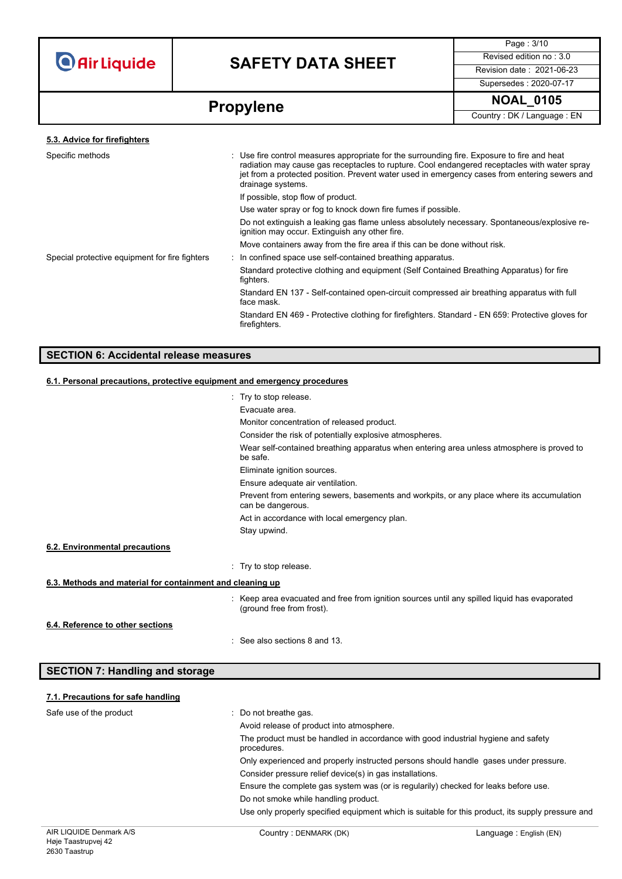

# **SAFETY DATA SHEET** Revised edition no : 3.0

Page : 3/10 Supersedes : 2020-07-17

# **Propylene** NOAL\_0105

| 5.3. Advice for firefighters                   |                                                                                                                                                                                                                                                                                                                   |  |
|------------------------------------------------|-------------------------------------------------------------------------------------------------------------------------------------------------------------------------------------------------------------------------------------------------------------------------------------------------------------------|--|
| Specific methods                               | : Use fire control measures appropriate for the surrounding fire. Exposure to fire and heat<br>radiation may cause gas receptacles to rupture. Cool endangered receptacles with water spray<br>jet from a protected position. Prevent water used in emergency cases from entering sewers and<br>drainage systems. |  |
|                                                | If possible, stop flow of product.                                                                                                                                                                                                                                                                                |  |
|                                                | Use water spray or fog to knock down fire fumes if possible.                                                                                                                                                                                                                                                      |  |
|                                                | Do not extinguish a leaking gas flame unless absolutely necessary. Spontaneous/explosive re-<br>ignition may occur. Extinguish any other fire.                                                                                                                                                                    |  |
|                                                | Move containers away from the fire area if this can be done without risk.                                                                                                                                                                                                                                         |  |
| Special protective equipment for fire fighters | : In confined space use self-contained breathing apparatus.                                                                                                                                                                                                                                                       |  |
|                                                | Standard protective clothing and equipment (Self Contained Breathing Apparatus) for fire<br>fighters.                                                                                                                                                                                                             |  |
|                                                | Standard EN 137 - Self-contained open-circuit compressed air breathing apparatus with full<br>face mask.                                                                                                                                                                                                          |  |
|                                                | Standard EN 469 - Protective clothing for firefighters. Standard - EN 659: Protective gloves for<br>firefighters.                                                                                                                                                                                                 |  |
|                                                |                                                                                                                                                                                                                                                                                                                   |  |

### **SECTION 6: Accidental release measures**

## **6.1. Personal precautions, protective equipment and emergency procedures**

|                                                           | : Try to stop release.                                                                                                    |
|-----------------------------------------------------------|---------------------------------------------------------------------------------------------------------------------------|
|                                                           | Evacuate area.                                                                                                            |
|                                                           | Monitor concentration of released product.                                                                                |
|                                                           | Consider the risk of potentially explosive atmospheres.                                                                   |
|                                                           | Wear self-contained breathing apparatus when entering area unless atmosphere is proved to<br>be safe.                     |
|                                                           | Eliminate ignition sources.                                                                                               |
|                                                           | Ensure adequate air ventilation.                                                                                          |
|                                                           | Prevent from entering sewers, basements and workpits, or any place where its accumulation<br>can be dangerous.            |
|                                                           | Act in accordance with local emergency plan.                                                                              |
|                                                           | Stay upwind.                                                                                                              |
| 6.2. Environmental precautions                            |                                                                                                                           |
|                                                           | : Try to stop release.                                                                                                    |
| 6.3. Methods and material for containment and cleaning up |                                                                                                                           |
|                                                           | : Keep area evacuated and free from ignition sources until any spilled liquid has evaporated<br>(ground free from frost). |
| 6.4. Reference to other sections                          |                                                                                                                           |
|                                                           | : See also sections 8 and 13.                                                                                             |

| <b>SECTION 7: Handling and storage</b> |                                                                                                  |
|----------------------------------------|--------------------------------------------------------------------------------------------------|
| 7.1. Precautions for safe handling     |                                                                                                  |
| Safe use of the product                | : Do not breathe gas.                                                                            |
|                                        | Avoid release of product into atmosphere.                                                        |
|                                        | The product must be handled in accordance with good industrial hygiene and safety<br>procedures. |
|                                        | Only experienced and properly instructed persons should handle gases under pressure.             |
|                                        | Consider pressure relief device(s) in gas installations.                                         |
|                                        | Engura the complete gas system was (or is requieriby) checked for leaks before use               |

Do not smoke while handling product.

Use only properly specified equipment which is suitable for this product, its supply pressure and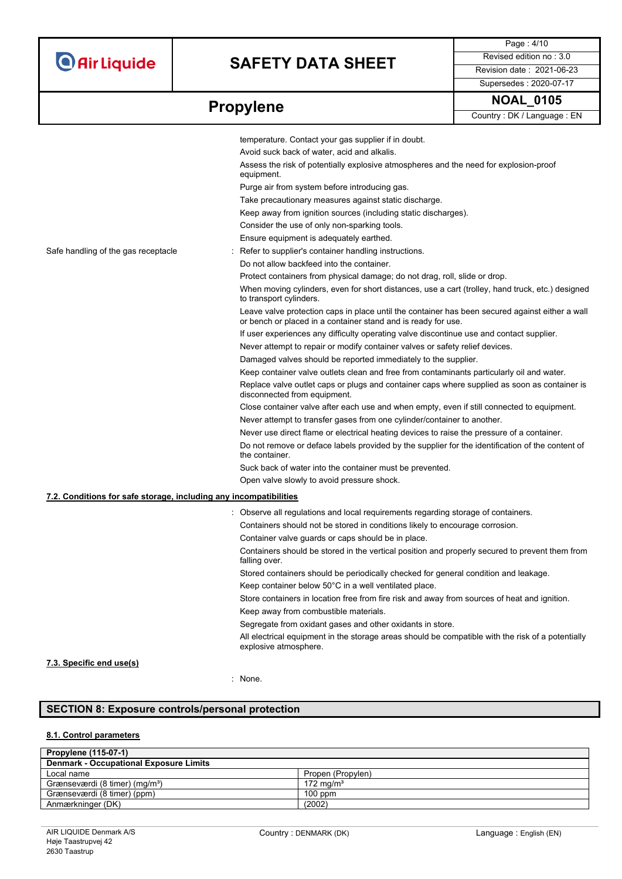# **SAFETY DATA SHEET** Revised edition no : 3.0

Supersedes : 2020-07-17

Page : 4/10

**Propylene NOAL\_0105 Propylene** Country: DK / Language : EN

|                                                                   | temperature. Contact your gas supplier if in doubt.                                                                                                              |
|-------------------------------------------------------------------|------------------------------------------------------------------------------------------------------------------------------------------------------------------|
|                                                                   | Avoid suck back of water, acid and alkalis.                                                                                                                      |
|                                                                   | Assess the risk of potentially explosive atmospheres and the need for explosion-proof<br>equipment.                                                              |
|                                                                   | Purge air from system before introducing gas.                                                                                                                    |
|                                                                   | Take precautionary measures against static discharge.                                                                                                            |
|                                                                   | Keep away from ignition sources (including static discharges).                                                                                                   |
|                                                                   | Consider the use of only non-sparking tools.                                                                                                                     |
|                                                                   | Ensure equipment is adequately earthed.                                                                                                                          |
| Safe handling of the gas receptacle                               | Refer to supplier's container handling instructions.                                                                                                             |
|                                                                   | Do not allow backfeed into the container.                                                                                                                        |
|                                                                   | Protect containers from physical damage; do not drag, roll, slide or drop.                                                                                       |
|                                                                   | When moving cylinders, even for short distances, use a cart (trolley, hand truck, etc.) designed<br>to transport cylinders.                                      |
|                                                                   | Leave valve protection caps in place until the container has been secured against either a wall<br>or bench or placed in a container stand and is ready for use. |
|                                                                   | If user experiences any difficulty operating valve discontinue use and contact supplier.                                                                         |
|                                                                   | Never attempt to repair or modify container valves or safety relief devices.                                                                                     |
|                                                                   | Damaged valves should be reported immediately to the supplier.                                                                                                   |
|                                                                   | Keep container valve outlets clean and free from contaminants particularly oil and water.                                                                        |
|                                                                   | Replace valve outlet caps or plugs and container caps where supplied as soon as container is<br>disconnected from equipment.                                     |
|                                                                   | Close container valve after each use and when empty, even if still connected to equipment.                                                                       |
|                                                                   | Never attempt to transfer gases from one cylinder/container to another.                                                                                          |
|                                                                   | Never use direct flame or electrical heating devices to raise the pressure of a container.                                                                       |
|                                                                   | Do not remove or deface labels provided by the supplier for the identification of the content of<br>the container.                                               |
|                                                                   | Suck back of water into the container must be prevented.                                                                                                         |
|                                                                   | Open valve slowly to avoid pressure shock.                                                                                                                       |
| 7.2. Conditions for safe storage, including any incompatibilities |                                                                                                                                                                  |
|                                                                   | : Observe all regulations and local requirements regarding storage of containers.                                                                                |
|                                                                   | Containers should not be stored in conditions likely to encourage corrosion.                                                                                     |
|                                                                   | Container valve guards or caps should be in place.                                                                                                               |
|                                                                   | Containers should be stored in the vertical position and properly secured to prevent them from<br>falling over.                                                  |
|                                                                   | Stored containers should be periodically checked for general condition and leakage.                                                                              |
|                                                                   | Keep container below 50°C in a well ventilated place.                                                                                                            |
|                                                                   | Store containers in location free from fire risk and away from sources of heat and ignition.                                                                     |
|                                                                   | Keep away from combustible materials.                                                                                                                            |
|                                                                   | Segregate from oxidant gases and other oxidants in store.                                                                                                        |
|                                                                   | All electrical equipment in the storage areas should be compatible with the risk of a potentially<br>explosive atmosphere.                                       |
| 7.3. Specific end use(s)                                          |                                                                                                                                                                  |

### : None.

## **SECTION 8: Exposure controls/personal protection**

### **8.1. Control parameters**

| <b>Propylene (115-07-1)</b>                   |                      |  |
|-----------------------------------------------|----------------------|--|
| <b>Denmark - Occupational Exposure Limits</b> |                      |  |
| Local name                                    | Propen (Propylen)    |  |
| Grænseværdi (8 timer) (mg/m <sup>3</sup> )    | $172 \text{ ma/m}^3$ |  |
| Grænseværdi (8 timer) (ppm)                   | $100$ ppm            |  |
| Anmærkninger (DK)                             | (2002)               |  |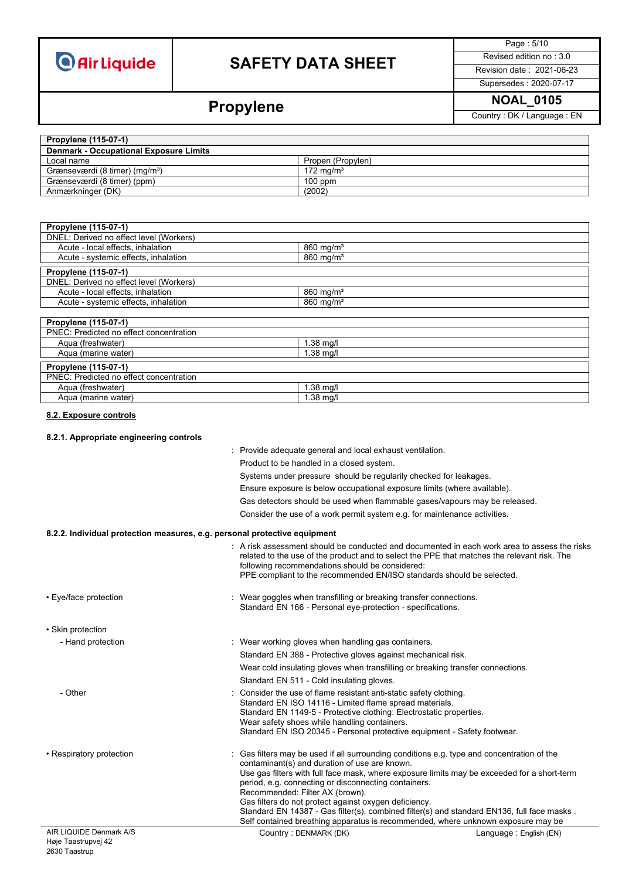# **SAFETY DATA SHEET** Revised edition no : 3.0

Page : 5/10

## Supersedes : 2020-07-17

**Propylene** NOAL\_0105

| <b>Propylene (115-07-1)</b>                   |                       |
|-----------------------------------------------|-----------------------|
| <b>Denmark - Occupational Exposure Limits</b> |                       |
| Local name                                    | Propen (Propylen)     |
| Grænseværdi (8 timer) (mg/m <sup>3</sup> )    | 172 ma/m <sup>3</sup> |
| Grænseværdi (8 timer) (ppm)                   | $100$ ppm             |
| Anmærkninger (DK)                             | (2002)                |

| Propylene (115-07-1)                    |                         |
|-----------------------------------------|-------------------------|
| DNEL: Derived no effect level (Workers) |                         |
| Acute - local effects, inhalation       | $860$ mg/m <sup>3</sup> |
| Acute - systemic effects, inhalation    | $860$ mg/m <sup>3</sup> |
| Propylene (115-07-1)                    |                         |
| DNEL: Derived no effect level (Workers) |                         |
| Acute - local effects, inhalation       | $860$ mg/m <sup>3</sup> |
| Acute - systemic effects, inhalation    | 860 mg/m <sup>3</sup>   |
|                                         |                         |
| Propylene (115-07-1)                    |                         |
| PNEC: Predicted no effect concentration |                         |
| Aqua (freshwater)                       | $1.38$ mg/l             |
| Aqua (marine water)                     | $1.38$ mg/l             |
| Propylene (115-07-1)                    |                         |
| PNEC: Predicted no effect concentration |                         |
| Agua (freshwater)                       | $1.38$ mg/l             |
| Aqua (marine water)                     | $1.38$ mg/l             |

**8.2. Exposure controls**

#### **8.2.1. Appropriate engineering controls**

: Provide adequate general and local exhaust ventilation. Product to be handled in a closed system. Systems under pressure should be regularily checked for leakages. Ensure exposure is below occupational exposure limits (where available). Gas detectors should be used when flammable gases/vapours may be released. Consider the use of a work permit system e.g. for maintenance activities.

#### **8.2.2. Individual protection measures, e.g. personal protective equipment**

|                          | following recommendations should be considered:                                                                                                                                                                                                                                                                                                                                                                                                                                                                                                                                | . A risk assessment should be conducted and documented in each work area to assess the risks<br>related to the use of the product and to select the PPE that matches the relevant risk. The<br>PPE compliant to the recommended EN/ISO standards should be selected. |
|--------------------------|--------------------------------------------------------------------------------------------------------------------------------------------------------------------------------------------------------------------------------------------------------------------------------------------------------------------------------------------------------------------------------------------------------------------------------------------------------------------------------------------------------------------------------------------------------------------------------|----------------------------------------------------------------------------------------------------------------------------------------------------------------------------------------------------------------------------------------------------------------------|
| • Eye/face protection    | : Wear goggles when transfilling or breaking transfer connections.<br>Standard EN 166 - Personal eye-protection - specifications.                                                                                                                                                                                                                                                                                                                                                                                                                                              |                                                                                                                                                                                                                                                                      |
| • Skin protection        |                                                                                                                                                                                                                                                                                                                                                                                                                                                                                                                                                                                |                                                                                                                                                                                                                                                                      |
| - Hand protection        | : Wear working gloves when handling gas containers.                                                                                                                                                                                                                                                                                                                                                                                                                                                                                                                            |                                                                                                                                                                                                                                                                      |
|                          | Standard EN 388 - Protective gloves against mechanical risk.                                                                                                                                                                                                                                                                                                                                                                                                                                                                                                                   |                                                                                                                                                                                                                                                                      |
|                          |                                                                                                                                                                                                                                                                                                                                                                                                                                                                                                                                                                                | Wear cold insulating gloves when transfilling or breaking transfer connections.                                                                                                                                                                                      |
|                          | Standard EN 511 - Cold insulating gloves.                                                                                                                                                                                                                                                                                                                                                                                                                                                                                                                                      |                                                                                                                                                                                                                                                                      |
| - Other                  | Consider the use of flame resistant anti-static safety clothing.<br>Standard EN ISO 14116 - Limited flame spread materials.<br>Standard EN 1149-5 - Protective clothing: Electrostatic properties.<br>Wear safety shoes while handling containers.                                                                                                                                                                                                                                                                                                                             | Standard EN ISO 20345 - Personal protective equipment - Safety footwear.                                                                                                                                                                                             |
| • Respiratory protection | Gas filters may be used if all surrounding conditions e.g. type and concentration of the<br>contaminant(s) and duration of use are known.<br>Use gas filters with full face mask, where exposure limits may be exceeded for a short-term<br>period, e.g. connecting or disconnecting containers.<br>Recommended: Filter AX (brown).<br>Gas filters do not protect against oxygen deficiency.<br>Standard EN 14387 - Gas filter(s), combined filter(s) and standard EN136, full face masks.<br>Self contained breathing apparatus is recommended, where unknown exposure may be |                                                                                                                                                                                                                                                                      |
| AIR LIQUIDE Denmark A/S  | Country: DENMARK (DK)                                                                                                                                                                                                                                                                                                                                                                                                                                                                                                                                                          | Language: English (EN)                                                                                                                                                                                                                                               |
|                          |                                                                                                                                                                                                                                                                                                                                                                                                                                                                                                                                                                                |                                                                                                                                                                                                                                                                      |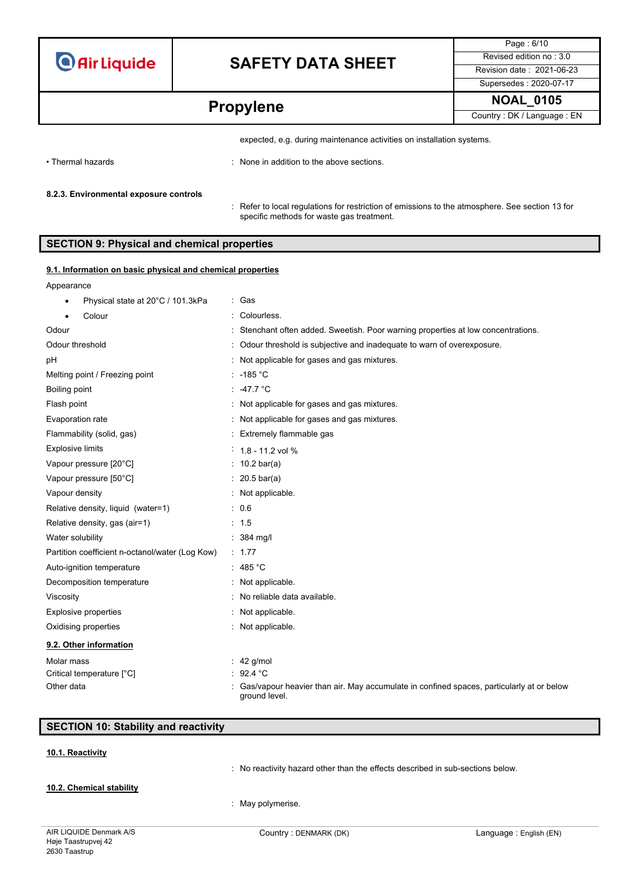# **SAFETY DATA SHEET** Revised edition no : 3.0

Page : 6/10 Supersedes : 2020-07-17

**Propylene NOAL\_0105 Propylene Propylene** 

• Thermal hazards : None in addition to the above sections.

#### **8.2.3. Environmental exposure controls**

: Refer to local regulations for restriction of emissions to the atmosphere. See section 13 for specific methods for waste gas treatment.

expected, e.g. during maintenance activities on installation systems.

### **SECTION 9: Physical and chemical properties**

#### **9.1. Information on basic physical and chemical properties**

#### Appearance

| Physical state at 20°C / 101.3kPa<br>٠          | : Gas                                                                                                     |
|-------------------------------------------------|-----------------------------------------------------------------------------------------------------------|
| Colour                                          | Colourless.                                                                                               |
| Odour                                           | : Stenchant often added. Sweetish. Poor warning properties at low concentrations.                         |
| Odour threshold                                 | Odour threshold is subjective and inadequate to warn of overexposure.                                     |
| рH                                              | : Not applicable for gases and gas mixtures.                                                              |
| Melting point / Freezing point                  | $: -185 °C$                                                                                               |
| Boiling point                                   | : $-47.7$ °C                                                                                              |
| Flash point                                     | : Not applicable for gases and gas mixtures.                                                              |
| Evaporation rate                                | Not applicable for gases and gas mixtures.                                                                |
| Flammability (solid, gas)                       | : Extremely flammable gas                                                                                 |
| <b>Explosive limits</b>                         | $1.8 - 11.2$ vol %                                                                                        |
| Vapour pressure [20°C]                          | : $10.2 \text{ bar(a)}$                                                                                   |
| Vapour pressure [50°C]                          | $20.5 \text{ bar(a)}$                                                                                     |
| Vapour density                                  | : Not applicable.                                                                                         |
| Relative density, liquid (water=1)              | : 0.6                                                                                                     |
| Relative density, gas (air=1)                   | : 1.5                                                                                                     |
| Water solubility                                | $: 384$ mg/l                                                                                              |
| Partition coefficient n-octanol/water (Log Kow) | : 1.77                                                                                                    |
| Auto-ignition temperature                       | : 485 °C                                                                                                  |
| Decomposition temperature                       | Not applicable.                                                                                           |
| Viscosity                                       | No reliable data available.                                                                               |
| <b>Explosive properties</b>                     | : Not applicable.                                                                                         |
| Oxidising properties                            | : Not applicable.                                                                                         |
| 9.2. Other information                          |                                                                                                           |
| Molar mass                                      | 42 g/mol                                                                                                  |
| Critical temperature [°C]                       | 92.4 °C                                                                                                   |
| Other data                                      | Gas/vapour heavier than air. May accumulate in confined spaces, particularly at or below<br>ground level. |

### **SECTION 10: Stability and reactivity**

#### **10.1. Reactivity**

**10.2. Chemical stability**

: No reactivity hazard other than the effects described in sub-sections below.

: May polymerise.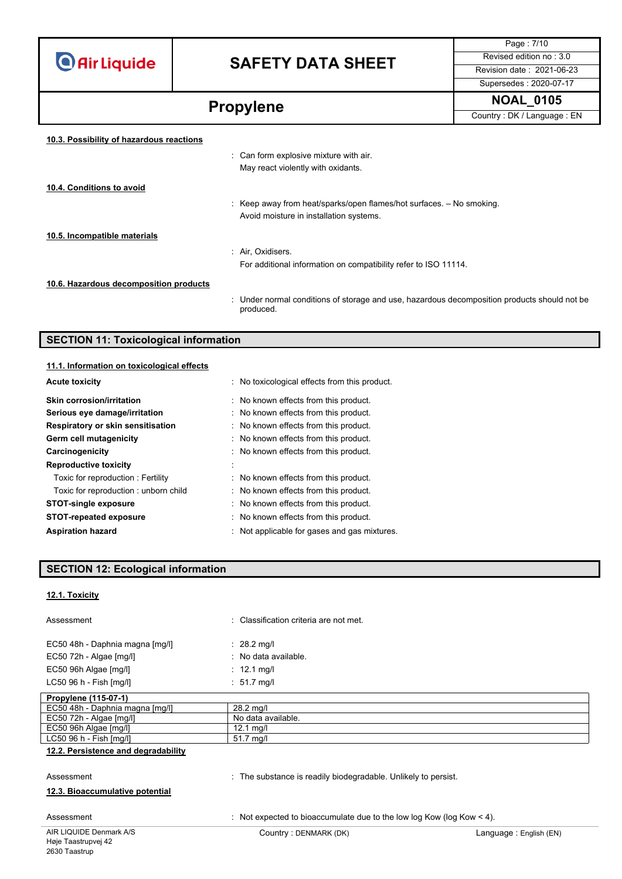## **SAFETY DATA SHEET** Revised edition no : 3.0

Page : 7/10 Supersedes : 2020-07-17

**Propylene** NOAL\_0105 **10.3. Possibility of hazardous reactions** : Can form explosive mixture with air. May react violently with oxidants. **10.4. Conditions to avoid** : Keep away from heat/sparks/open flames/hot surfaces. – No smoking. Avoid moisture in installation systems. **10.5. Incompatible materials** : Air, Oxidisers. For additional information on compatibility refer to ISO 11114. **10.6. Hazardous decomposition products**

> : Under normal conditions of storage and use, hazardous decomposition products should not be produced.

### **SECTION 11: Toxicological information**

| 11.1. Information on toxicological effects |                                              |
|--------------------------------------------|----------------------------------------------|
| <b>Acute toxicity</b>                      | No toxicological effects from this product.  |
| Skin corrosion/irritation                  | : No known effects from this product.        |
| Serious eye damage/irritation              | : No known effects from this product.        |
| Respiratory or skin sensitisation          | : No known effects from this product.        |
| Germ cell mutagenicity                     | : No known effects from this product.        |
| Carcinogenicity                            | : No known effects from this product.        |
| <b>Reproductive toxicity</b>               | $\mathbf{r}$                                 |
| Toxic for reproduction: Fertility          | : No known effects from this product.        |
| Toxic for reproduction: unborn child       | : No known effects from this product.        |
| <b>STOT-single exposure</b>                | : No known effects from this product.        |
| <b>STOT-repeated exposure</b>              | : No known effects from this product.        |
| <b>Aspiration hazard</b>                   | : Not applicable for gases and gas mixtures. |

### **SECTION 12: Ecological information**

#### **12.1. Toxicity**

| Assessment                      | : Classification criteria are not met. |
|---------------------------------|----------------------------------------|
| EC50 48h - Daphnia magna [mg/l] | $\therefore$ 28.2 mg/l                 |
| $EC50$ 72h - Algae $[mg/l]$     | : No data available.                   |
| EC50 96h Algae [mg/l]           | $\therefore$ 12.1 mg/l                 |
| LC50 96 h - Fish [mg/l]         | $: 51.7$ mg/l                          |
| Desputano $(AAE \cap ZA)$       |                                        |

| Propylene (115-07-1)            |                    |
|---------------------------------|--------------------|
| EC50 48h - Daphnia magna [mq/l] | 28.2 ma/l          |
| EC50 72h - Algae [mg/l]         | No data available. |
| EC50 96h Algae [mg/l]           | 12.1 ma/l          |
| $LC5096 h - Fish [mq/II]$       | 51.7 ma/l          |
|                                 |                    |

#### **12.2. Persistence and degradability**

#### Assessment **in the substance is readily biodegradable**. Unlikely to persist.

#### **12.3. Bioaccumulative potential**

Assessment : Not expected to bioaccumulate due to the low log Kow (log Kow < 4).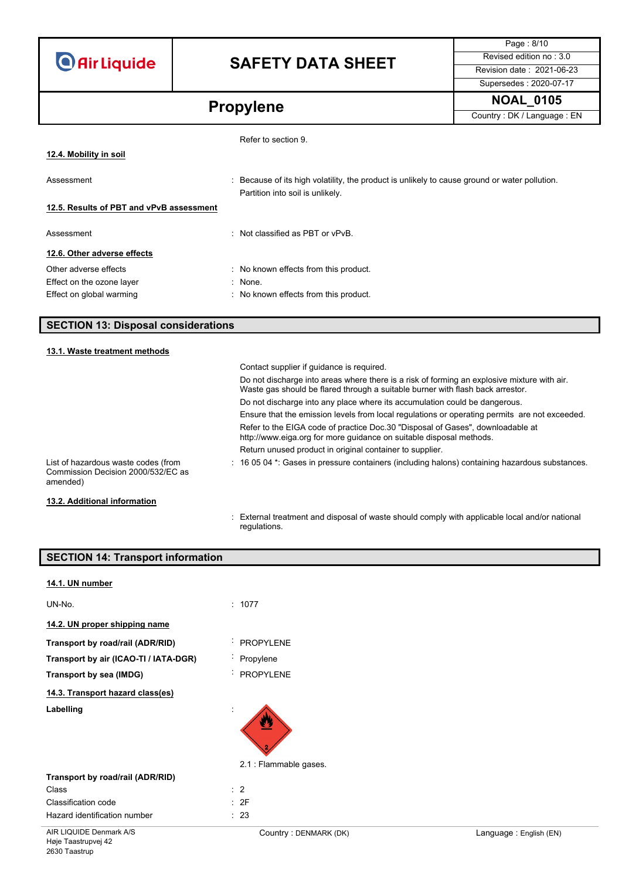# **SAFETY DATA SHEET** Revised edition no : 3.0

Page : 8/10 Supersedes : 2020-07-17

**Propylene** NOAL\_0105

|                                          | Refer to section 9.                                                                                                               |
|------------------------------------------|-----------------------------------------------------------------------------------------------------------------------------------|
| 12.4. Mobility in soil                   |                                                                                                                                   |
| Assessment                               | : Because of its high volatility, the product is unlikely to cause ground or water pollution.<br>Partition into soil is unlikely. |
| 12.5. Results of PBT and vPvB assessment |                                                                                                                                   |
| Assessment                               | $\therefore$ Not classified as PBT or vPvB.                                                                                       |
| 12.6. Other adverse effects              |                                                                                                                                   |
| Other adverse effects                    | : No known effects from this product.                                                                                             |
| Effect on the ozone layer                | : None.                                                                                                                           |
| Effect on global warming                 | : No known effects from this product.                                                                                             |

### **SECTION 13: Disposal considerations**

#### **13.1. Waste treatment methods**

|                                                                                       | Contact supplier if guidance is required.                                                                                                                                     |
|---------------------------------------------------------------------------------------|-------------------------------------------------------------------------------------------------------------------------------------------------------------------------------|
|                                                                                       | Do not discharge into areas where there is a risk of forming an explosive mixture with air.<br>Waste gas should be flared through a suitable burner with flash back arrestor. |
|                                                                                       | Do not discharge into any place where its accumulation could be dangerous.                                                                                                    |
|                                                                                       | Ensure that the emission levels from local regulations or operating permits are not exceeded.                                                                                 |
|                                                                                       | Refer to the EIGA code of practice Doc.30 "Disposal of Gases", downloadable at<br>http://www.eiga.org for more guidance on suitable disposal methods.                         |
|                                                                                       | Return unused product in original container to supplier.                                                                                                                      |
| List of hazardous waste codes (from<br>Commission Decision 2000/532/EC as<br>amended) | $\therefore$ 16 05 04 $^*$ : Gases in pressure containers (including halons) containing hazardous substances.                                                                 |
| 13.2. Additional information                                                          |                                                                                                                                                                               |

: External treatment and disposal of waste should comply with applicable local and/or national regulations.

| <b>SECTION 14: Transport information</b> |                             |  |
|------------------------------------------|-----------------------------|--|
| 14.1. UN number                          |                             |  |
| UN-No.                                   | : 1077                      |  |
| 14.2. UN proper shipping name            |                             |  |
| Transport by road/rail (ADR/RID)         | <b>PROPYLENE</b>            |  |
| Transport by air (ICAO-TI / IATA-DGR)    | · Propylene                 |  |
| Transport by sea (IMDG)                  | <b>PROPYLENE</b>            |  |
| 14.3. Transport hazard class(es)         |                             |  |
| Labelling                                | 四<br>2.1 : Flammable gases. |  |
| Transport by road/rail (ADR/RID)         |                             |  |
| Class                                    | $\therefore$ 2              |  |
| Classification code                      | : 2F                        |  |
| Hazard identification number             | : 23                        |  |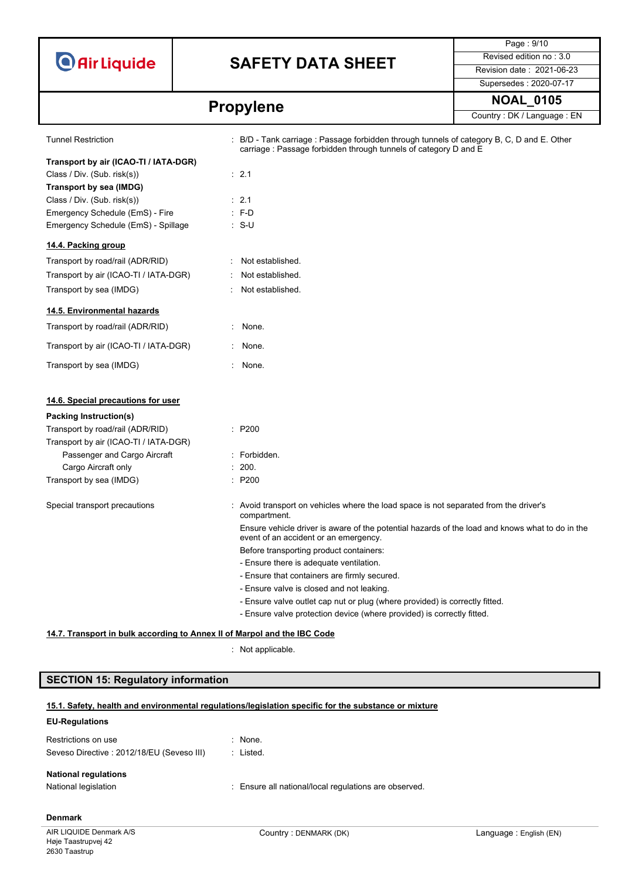

# **SAFETY DATA SHEET** Revised edition no : 3.0

Tunnel Restriction : B/D - Tank carriage : Passage forbidden through tunnels of category B, C, D and E. Other

Page : 9/10 Supersedes : 2020-07-17

# **Propylene** NOAL\_0105

|                                                                          | carriage: Passage forbidden through tunnels of category D and E                                                                          |
|--------------------------------------------------------------------------|------------------------------------------------------------------------------------------------------------------------------------------|
| Transport by air (ICAO-TI / IATA-DGR)                                    |                                                                                                                                          |
| Class / Div. (Sub. risk(s))                                              | : 2.1                                                                                                                                    |
| Transport by sea (IMDG)                                                  |                                                                                                                                          |
| Class / Div. (Sub. risk(s))                                              | : 2.1                                                                                                                                    |
| Emergency Schedule (EmS) - Fire                                          | $: F-D$                                                                                                                                  |
| Emergency Schedule (EmS) - Spillage                                      | ∴ S-U                                                                                                                                    |
| 14.4. Packing group                                                      |                                                                                                                                          |
| Transport by road/rail (ADR/RID)                                         | Not established.                                                                                                                         |
| Transport by air (ICAO-TI / IATA-DGR)                                    | Not established.                                                                                                                         |
| Transport by sea (IMDG)                                                  | Not established.                                                                                                                         |
| 14.5. Environmental hazards                                              |                                                                                                                                          |
| Transport by road/rail (ADR/RID)                                         | None.<br>÷                                                                                                                               |
| Transport by air (ICAO-TI / IATA-DGR)                                    | : None.                                                                                                                                  |
| Transport by sea (IMDG)                                                  | $\sim$<br>None.                                                                                                                          |
| 14.6. Special precautions for user                                       |                                                                                                                                          |
| Packing Instruction(s)                                                   |                                                                                                                                          |
| Transport by road/rail (ADR/RID)                                         | : P200                                                                                                                                   |
| Transport by air (ICAO-TI / IATA-DGR)                                    |                                                                                                                                          |
| Passenger and Cargo Aircraft                                             | : Forbidden.                                                                                                                             |
| Cargo Aircraft only                                                      | : 200.                                                                                                                                   |
| Transport by sea (IMDG)                                                  | : P200                                                                                                                                   |
| Special transport precautions                                            | : Avoid transport on vehicles where the load space is not separated from the driver's<br>compartment.                                    |
|                                                                          | Ensure vehicle driver is aware of the potential hazards of the load and knows what to do in the<br>event of an accident or an emergency. |
|                                                                          | Before transporting product containers:                                                                                                  |
|                                                                          | - Ensure there is adequate ventilation.                                                                                                  |
|                                                                          | - Ensure that containers are firmly secured.                                                                                             |
|                                                                          | - Ensure valve is closed and not leaking.                                                                                                |
|                                                                          | - Ensure valve outlet cap nut or plug (where provided) is correctly fitted.                                                              |
|                                                                          | - Ensure valve protection device (where provided) is correctly fitted.                                                                   |
| 14.7. Transport in bulk according to Annex II of Marpol and the IBC Code |                                                                                                                                          |
|                                                                          | : Not applicable.                                                                                                                        |

### **SECTION 15: Regulatory information**

#### **15.1. Safety, health and environmental regulations/legislation specific for the substance or mixture**

### **EU-Regulations**

| Restrictions on use                                 | $:$ None.                                             |
|-----------------------------------------------------|-------------------------------------------------------|
| Seveso Directive : 2012/18/EU (Seveso III)          | : Listed.                                             |
| <b>National regulations</b><br>National legislation | : Ensure all national/local regulations are observed. |

### **Denmark**